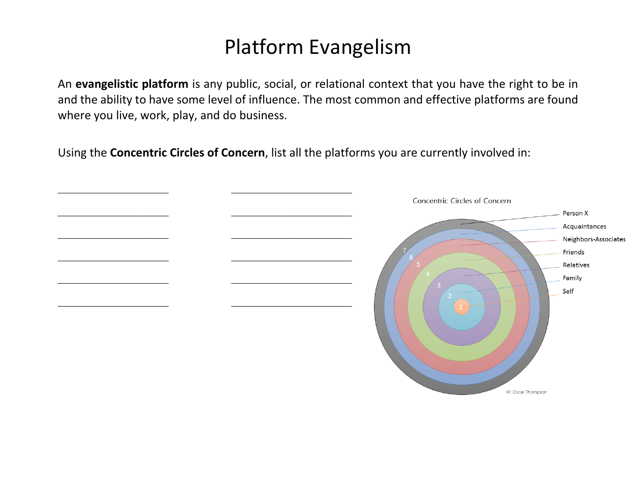## Platform Evangelism

An **evangelistic platform** is any public, social, or relational context that you have the right to be in and the ability to have some level of influence. The most common and effective platforms are found where you live, work, play, and do business.

Using the **Concentric Circles of Concern**, list all the platforms you are currently involved in:

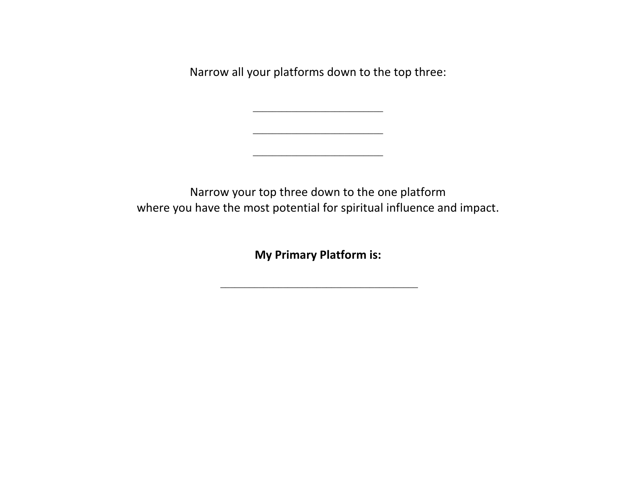Narrow all your platforms down to the top three:

\_\_\_\_\_\_\_\_\_\_\_\_\_\_\_\_\_\_\_\_\_\_\_\_\_\_\_

\_\_\_\_\_\_\_\_\_\_\_\_\_\_\_\_\_\_\_\_\_\_\_\_\_\_\_

Narrow your top three down to the one platform where you have the most potential for spiritual influence and impact.

**My Primary Platform is:** 

\_\_\_\_\_\_\_\_\_\_\_\_\_\_\_\_\_\_\_\_\_\_\_\_\_\_\_\_\_\_\_\_\_\_\_\_\_\_\_\_\_